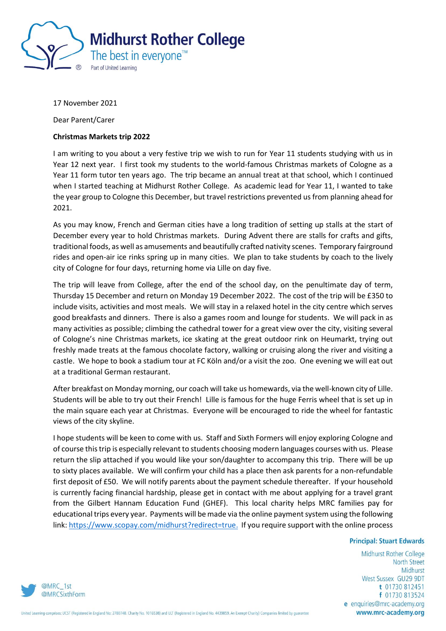

17 November 2021

Dear Parent/Carer

## **Christmas Markets trip 2022**

I am writing to you about a very festive trip we wish to run for Year 11 students studying with us in Year 12 next year. I first took my students to the world-famous Christmas markets of Cologne as a Year 11 form tutor ten years ago. The trip became an annual treat at that school, which I continued when I started teaching at Midhurst Rother College. As academic lead for Year 11, I wanted to take the year group to Cologne this December, but travel restrictions prevented us from planning ahead for 2021.

As you may know, French and German cities have a long tradition of setting up stalls at the start of December every year to hold Christmas markets. During Advent there are stalls for crafts and gifts, traditional foods, as well as amusements and beautifully crafted nativity scenes. Temporary fairground rides and open-air ice rinks spring up in many cities. We plan to take students by coach to the lively city of Cologne for four days, returning home via Lille on day five.

The trip will leave from College, after the end of the school day, on the penultimate day of term, Thursday 15 December and return on Monday 19 December 2022. The cost of the trip will be £350 to include visits, activities and most meals. We will stay in a relaxed hotel in the city centre which serves good breakfasts and dinners. There is also a games room and lounge for students. We will pack in as many activities as possible; climbing the cathedral tower for a great view over the city, visiting several of Cologne's nine Christmas markets, ice skating at the great outdoor rink on Heumarkt, trying out freshly made treats at the famous chocolate factory, walking or cruising along the river and visiting a castle. We hope to book a stadium tour at FC Köln and/or a visit the zoo. One evening we will eat out at a traditional German restaurant.

After breakfast on Monday morning, our coach will take us homewards, via the well-known city of Lille. Students will be able to try out their French! Lille is famous for the huge Ferris wheel that is set up in the main square each year at Christmas. Everyone will be encouraged to ride the wheel for fantastic views of the city skyline.

I hope students will be keen to come with us. Staff and Sixth Formers will enjoy exploring Cologne and of course this trip is especially relevant to students choosing modern languages courses with us. Please return the slip attached if you would like your son/daughter to accompany this trip. There will be up to sixty places available. We will confirm your child has a place then ask parents for a non-refundable first deposit of £50. We will notify parents about the payment schedule thereafter. If your household is currently facing financial hardship, please get in contact with me about applying for a travel grant from the Gilbert Hannam Education Fund (GHEF). This local charity helps MRC families pay for educational trips every year. Payments will be made via the online payment system using the following link: [https://www.scopay.com/midhurst?redirect=true.](https://www.scopay.com/midhurst?redirect=true) If you require support with the online process

## **Principal: Stuart Edwards**

Midhurst Rother College **North Street** Midhurst West Sussex GU29 9DT t 01730 812451 f 01730 813524 e enquiries@mrc-academy.org www.mrc-academy.org